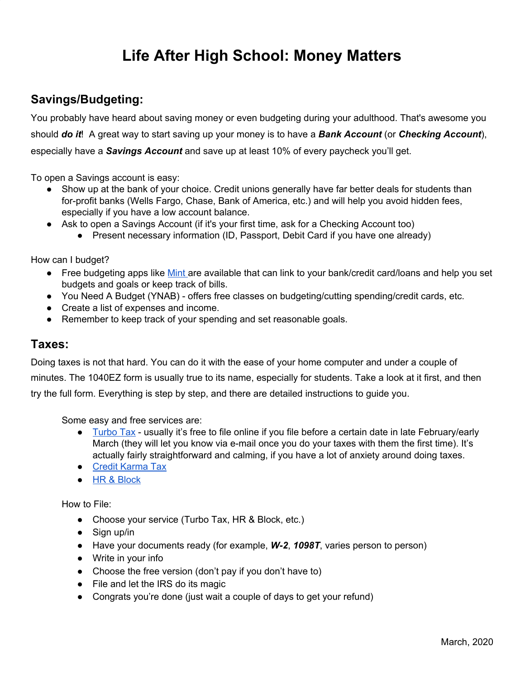# **Life After High School: Money Matters**

# **Savings/Budgeting:**

You probably have heard about saving money or even budgeting during your adulthood. That's awesome you should *do it*! A great way to start saving up your money is to have a *Bank Account* (or *Checking Account*), especially have a *Savings Account* and save up at least 10% of every paycheck you'll get.

To open a Savings account is easy:

- Show up at the bank of your choice. Credit unions generally have far better deals for students than for-profit banks (Wells [Fargo,](https://www.wellsfargo.com/) [Chase](https://www.chase.com/), Bank of [America](https://www.bankofamerica.com/), etc.) and will help you avoid hidden fees, especially if you have a low account balance.
- Ask to open a Savings Account (if it's your first time, ask for a Checking Account too)
	- Present necessary information (ID, Passport, Debit Card if you have one already)

How can I budget?

- Free budgeting apps like [Mint](http://www.mint.com/) are available that can link to your bank/credit card/loans and help you set budgets and goals or keep track of bills.
- You Need A Budget (YNAB) offers free classes on budgeting/cutting spending/credit cards, etc.
- Create a list of expenses and income.
- Remember to keep track of your spending and set reasonable goals.

# **Taxes:**

Doing taxes is not that hard. You can do it with the ease of your home computer and under a couple of minutes. The 1040EZ form is usually true to its name, especially for students. Take a look at it first, and then try the full form. Everything is step by step, and there are detailed instructions to guide you.

Some easy and free services are:

- [Turbo](https://turbotax.intuit.com/) Tax usually it's free to file online if you file before a certain date in late February/early March (they will let you know via e-mail once you do your taxes with them the first time). It's actually fairly straightforward and calming, if you have a lot of anxiety around doing taxes.
- Credit [Karma](https://www.creditkarma.com/tax) Tax
- HR & [Block](https://www.hrblock.com/)

How to File:

- Choose your service (Turbo Tax, HR & Block, etc.)
- $\bullet$  Sign up/in
- Have your documents ready (for example, *W-2*, *1098T*, varies person to person)
- Write in your info
- Choose the free version (don't pay if you don't have to)
- File and let the IRS do its magic
- Congrats you're done (just wait a couple of days to get your refund)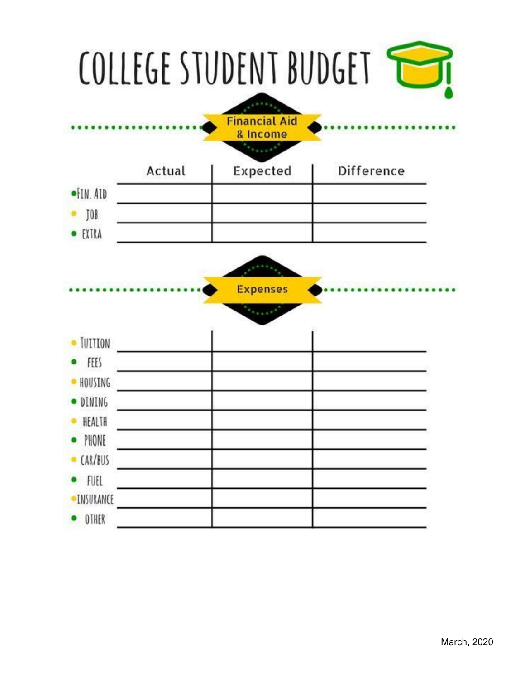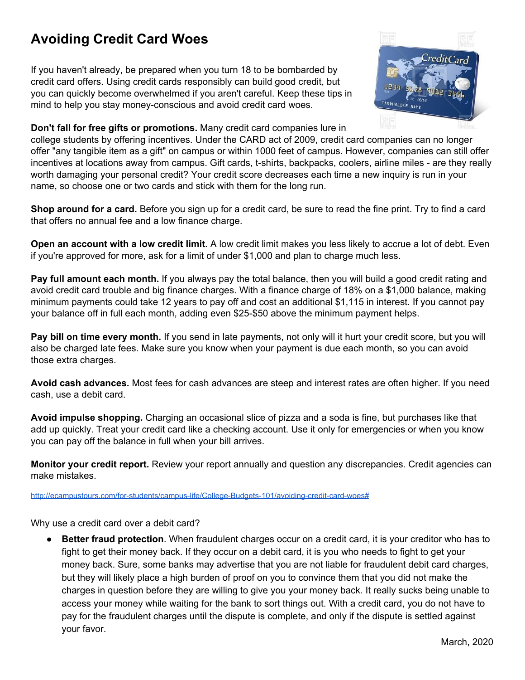# **Avoiding Credit Card Woes**

If you haven't already, be prepared when you turn 18 to be bombarded by credit card offers. Using credit cards responsibly can build good credit, but you can quickly become overwhelmed if you aren't careful. Keep these tips in mind to help you stay money-conscious and avoid credit card woes.



#### **Don't fall for free gifts or promotions.** Many credit card companies lure in

college students by offering incentives. Under the CARD act of 2009, credit card companies can no longer offer "any tangible item as a gift" on campus or within 1000 feet of campus. However, companies can still offer incentives at locations away from campus. Gift cards, t-shirts, backpacks, coolers, airline miles - are they really worth damaging your personal credit? Your credit score decreases each time a new inquiry is run in your name, so choose one or two cards and stick with them for the long run.

**Shop around for a card.** Before you sign up for a credit card, be sure to read the fine print. Try to find a card that offers no annual fee and a low finance charge.

**Open an account with a low credit limit.** A low credit limit makes you less likely to accrue a lot of debt. Even if you're approved for more, ask for a limit of under \$1,000 and plan to charge much less.

**Pay full amount each month.** If you always pay the total balance, then you will build a good credit rating and avoid credit card trouble and big finance charges. With a finance charge of 18% on a \$1,000 balance, making minimum payments could take 12 years to pay off and cost an additional \$1,115 in interest. If you cannot pay your balance off in full each month, adding even \$25-\$50 above the minimum payment helps.

**Pay bill on time every month.** If you send in late payments, not only will it hurt your credit score, but you will also be charged late fees. Make sure you know when your payment is due each month, so you can avoid those extra charges.

**Avoid cash advances.** Most fees for cash advances are steep and interest rates are often higher. If you need cash, use a debit card.

**Avoid impulse shopping.** Charging an occasional slice of pizza and a soda is fine, but purchases like that add up quickly. Treat your credit card like a checking account. Use it only for emergencies or when you know you can pay off the balance in full when your bill arrives.

**Monitor your credit report.** Review your report annually and question any discrepancies. Credit agencies can make mistakes.

<http://ecampustours.com/for-students/campus-life/College-Budgets-101/avoiding-credit-card-woes#>

Why use a credit card over a debit card?

**Better fraud protection**. When fraudulent charges occur on a credit card, it is your creditor who has to fight to get their money back. If they occur on a debit card, it is you who needs to fight to get your money back. Sure, some banks may advertise that you are not liable for fraudulent debit card charges, but they will likely place a high burden of proof on you to convince them that you did not make the charges in question before they are willing to give you your money back. It really sucks being unable to access your money while waiting for the bank to sort things out. With a credit card, you do not have to pay for the fraudulent charges until the dispute is complete, and only if the dispute is settled against your favor.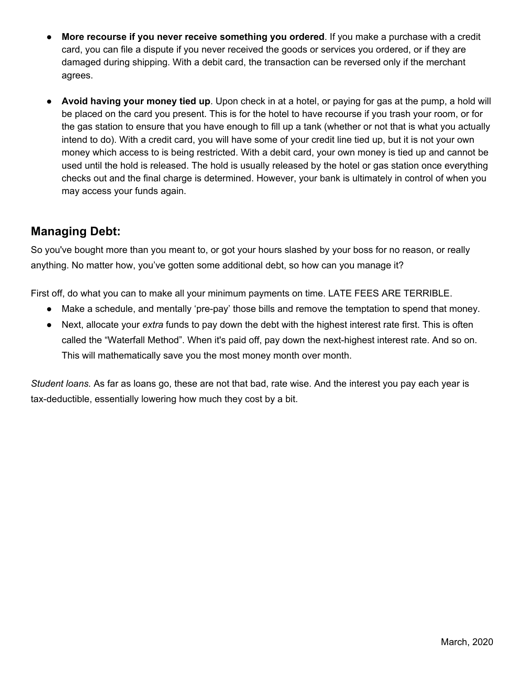- **More recourse if you never receive something you ordered**. If you make a purchase with a credit card, you can file a dispute if you never received the goods or services you ordered, or if they are damaged during shipping. With a debit card, the transaction can be reversed only if the merchant agrees.
- **Avoid having your money tied up**. Upon check in at a hotel, or paying for gas at the pump, a hold will be placed on the card you present. This is for the hotel to have recourse if you trash your room, or for the gas station to ensure that you have enough to fill up a tank (whether or not that is what you actually intend to do). With a credit card, you will have some of your credit line tied up, but it is not your own money which access to is being restricted. With a debit card, your own money is tied up and cannot be used until the hold is released. The hold is usually released by the hotel or gas station once everything checks out and the final charge is determined. However, your bank is ultimately in control of when you may access your funds again.

# **Managing Debt:**

So you've bought more than you meant to, or got your hours slashed by your boss for no reason, or really anything. No matter how, you've gotten some additional debt, so how can you manage it?

First off, do what you can to make all your minimum payments on time. LATE FEES ARE TERRIBLE.

- Make a schedule, and mentally 'pre-pay' those bills and remove the temptation to spend that money.
- Next, allocate your *extra* funds to pay down the debt with the highest interest rate first. This is often called the "Waterfall Method". When it's paid off, pay down the next-highest interest rate. And so on. This will mathematically save you the most money month over month.

*Student loans.* As far as loans go, these are not that bad, rate wise. And the interest you pay each year is tax-deductible, essentially lowering how much they cost by a bit.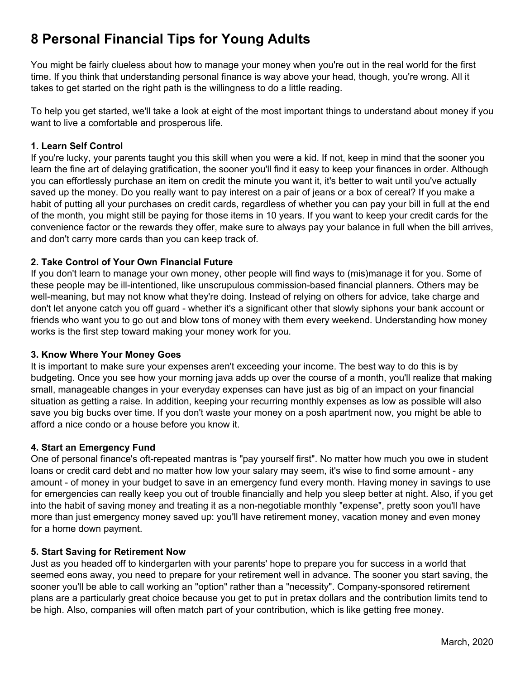# **8 Personal Financial Tips for Young Adults**

You might be fairly clueless about how to manage your money when you're out in the real world for the first time. If you think that understanding personal finance is way above your head, though, you're wrong. All it takes to get started on the right path is the willingness to do a little reading.

To help you get started, we'll take a look at eight of the most important things to understand about money if you want to live a comfortable and prosperous life.

## **1. Learn Self Control**

If you're lucky, your parents taught you this skill when you were a kid. If not, keep in mind that the sooner you learn the fine art of delaying gratification, the sooner you'll find it easy to keep your finances in order. Although you can effortlessly purchase an item on [credit](http://www.investopedia.com/terms/c/credit.asp) the minute you want it, it's better to wait until you've actually saved up the money. Do you really want to pay interest on a pair of jeans or a box of cereal? If you make a habit of putting all your purchases on [credit](http://www.investopedia.com/terms/c/creditcard.asp) cards, regardless of whether you can pay your bill in full at the end of the month, you might still be paying for those items in 10 years. If you want to keep your credit cards for the convenience factor or the rewards they offer, make sure to always pay your balance in full when the bill arrives, and don't carry more cards than you can keep track of.

# **2. Take Control of Your Own Financial Future**

If you don't learn to manage your own money, other people will find ways to (mis)manage it for you. Some of these people may be ill-intentioned, like unscrupulous [commission-](http://www.investopedia.com/terms/c/commission.asp)based financial planners. Others may be well-meaning, but may not know what they're doing. Instead of relying on others for advice, take charge and don't let anyone catch you off guard - whether it's a significant other that slowly siphons your bank account or friends who want you to go out and blow tons of money with them every weekend. Understanding how money works is the first step toward making your money work for you.

### **3. Know Where Your Money Goes**

It is important to make sure your [expenses](http://www.investopedia.com/terms/e/expense.asp) aren't exceeding your [income](http://www.investopedia.com/terms/i/income.asp). The best way to do this is by [budgeting](http://www.investopedia.com/terms/b/budget.asp). Once you see how your morning java adds up over the course of a month, you'll realize that making small, manageable changes in your everyday expenses can have just as big of an impact on your financial situation as getting a raise. In addition, keeping your recurring monthly expenses as low as possible will also save you big bucks over time. If you don't waste your money on a posh apartment now, you might be able to afford a nice condo or a house before you know it.

### **4. Start an Emergency Fund**

One of personal finance's oft-repeated mantras is "pay [yourself](http://www.investopedia.com/terms/p/payyourselffirst.asp) first". No matter how much you owe in student loans or credit card debt and no matter how low your salary may seem, it's wise to find some amount - any amount - of money in your budget to save in an [emergency](http://www.investopedia.com/terms/e/emergency_fund.asp) fund every month. Having money in savings to use for emergencies can really keep you out of trouble financially and help you sleep better at night. Also, if you get into the habit of saving money and treating it as a non-negotiable monthly "expense", pretty soon you'll have more than just emergency money saved up: you'll have retirement money, vacation money and even money for a home down payment.

### **5. Start Saving for Retirement Now**

Just as you headed off to kindergarten with your parents' hope to prepare you for success in a world that seemed eons away, you need to prepare for your retirement well in advance. The sooner you start saving, the sooner you'll be able to call working an "option" rather than a "necessity". [Company-sponsored](http://www.investopedia.com/terms/e/employer_sponsored_plan.asp) retirement [plans](http://www.investopedia.com/terms/e/employer_sponsored_plan.asp) are a particularly great choice because you get to put in pretax dollars and the contribution limits tend to be high. Also, companies will often match part of your contribution, which is like getting free money.